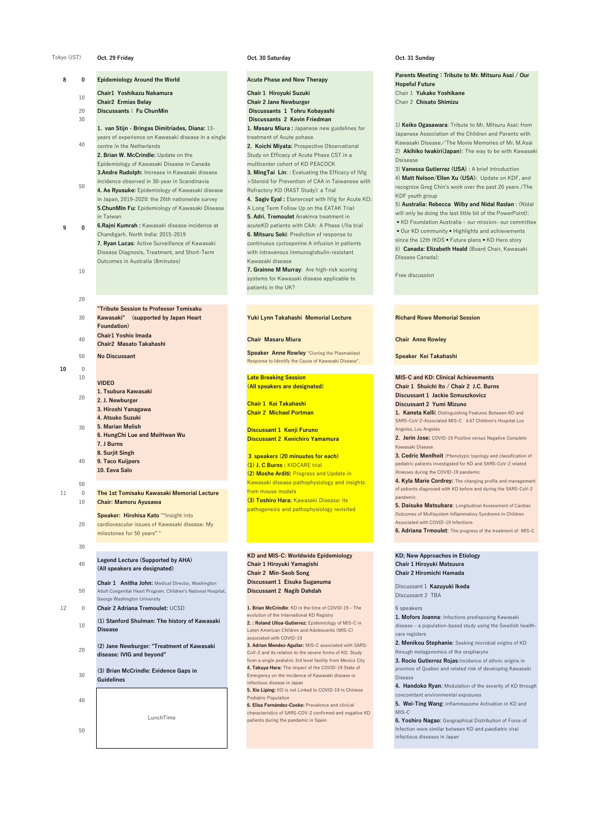### **Oct. 29 Friday Oct. 30 Saturday Oct. 31 Sunday**

Parents Meeting: Tribute to Mr. Mitsuru Asai / Our **Hopeful Future** Chair 1 **Yukako Yoshikane** Chair 2 **Chisato Shimizu**

10

20

30 **"Tribute Session to Professor Tomisaku Kawasaki" (supported by Japan Heart Foundation) Chair1 Yoshio Imada**

### **Yuki Lynn Takahashi Memorial Lecture Richard Rowe Memorial Session**

- 40 **Chair2 Masato Takahashi**
- 

### **Chair Masaru Miura Chair Anne Rowley**

<sup>50</sup> **No Discussant Speaker Anne Rowley** "Cloning the Plasmablast Response to Identify the Cause of Kawasaki Disease".

### **Speaker Kei Takahashi**

# **10** 0

**KD; New Approaches in Etiology Chair 1 Hiroyuki Matsuura Chair 2 Hiromichi Hamada**

**KD and MIS-C: Worldwide Epidemiology Chair 1 Hiroyuki Yamagishi Chair 2 Min-Seob Song Discussant 1 Eisuke Suganuma Discussant 2 Nagib Dahdah**

Discussant1 **Kazuyuki Ikeda** Discussant 2 TBA

**1. Brian McCrindle**: KD in the time of COVID-19 – The evolution of the International KD Registry **2. : Roland Ulloa-Gutierrez:** Epidemiology of MIS-C in Laten American Children and Adolescents (MIS-C) associated with COVID-19

**3. Adrian Mendez-Aguilar:** MIS-C associated with SARS-CoV-2 and its relation to the severe forms of KD. Study from a single pediatric 3rd level facility from Mexico City **4. Takuya Hara:** The impact of the COVID-19 State of Emergency on the incidence of Kawasaki disease or infectious disease in Japan

- **8 1 D Epidemiology Around the World Aculte Phase and New Therapy** 10 **Chair1 Yoshikazu Nakamura Chair2 Ermias Belay** 20 **Discussants: Fu ChunMin Discussants 1 Tohru Kobayashi** 30 **Discussants 2 Kevin Friedman** 40 50 **9 0 1. van Stijn - Bringas Dimitriades, Diana:** 13 years of experience on Kawasaki disease in a single centre in the Netherlands **2. Brian W. McCrindle:** Update on the Epidemiology of Kawasaki Disease in Canada **3.Andre Rudolph:** Increase in Kawasaki disease incidence observed in 30-year in Scandinavia **4. Ae Ryusuke:** Epidemiology of Kawasaki disease in Japan, 2019–2020: the 26th nationwide survey **5.ChunMIn Fu:** Epidemiology of Kawasaki Disease in Taiwan **6.Rajni Kumrah :** Kawasaki disease incidence at Chandigarh, North India: 2015-2019
	- **7. Ryan Lucas**: Active Surveillance of Kawasaki Disease Diagnosis, Treatment, and Short-Term Outcomes in Australia (8minutes)

**5. Xie Liping:** KD is not Linked to COVID-19 in Chinese Pediatric Population

**6. Elisa Fernández-Cooke:** Prevalence and clinical characteristics of SARS-COV-2 confirmed and negative KD patients during the pandemic in Spain

# 6 speakers

**1. Mofors Joanna**: Infections predisposing Kawasaki disease – a population-based study using the Swedish healthcare registers

**2. Menikou Stephanie**: Seeking microbial origins of KD through metagenomics of the oropharynx

**Chair 1 Hiroyuki Suzuki Chair 2 Jane Newburger 1. Masaru Miura :** Japanese new guidelines for treatment of Acute pohase **2. Koichi Miyata:** Prospective Observational Study on Efficacy of Acute Phase CST in a multicenter cohort of KD PEACOCK **3. MingTai Lin**: : Evaluating the Efficacy of IVIg +Steroid for Prevention of CAA in Taiwanese with Refractory KD (RAST Study): a Trial **4. Sagiv Eyal :** Etanercept with IVIg for Acute KD: A Long Term Follow Up on the EATAK Trial **5. Adri. Tremoulet** Anakinra treatment in acuteKD patients with CAA: A Phase I/IIa trial **6. Mitsuru Seki**: Prediction of response to continuous cyclosporine A infusion in patients with intravenous immunoglobulin-resistant Kawasaki disease **7. Grainne M Murray**: Are high-risk scoring systems for Kawasaki disease applicable to patients in the UK?

> **3. Rocio Gutierrez Rojas**:Incidence of ethnic origins in province of Quebec and related risk of developing Kawasaki Disease

**4. Handoko Ryan**: Modulation of the severity of KD through concomitant environmental exposures

**5. Wei-Ting Wang**: Inflammasome Activation in KD and MIS-C

**6. Yoshiro Nagao**: Geographical Distribution of Force of Infection were similar between KD and paediatric viral infectious diseases in Japan

10 20 **VIDEO 1. Tsubura Kawasaki**

### Tokyo (JST)

|    | ∠∪             | 2. J. Newburger<br>3. Hiroshi Yanagawa                                                                                                             |
|----|----------------|----------------------------------------------------------------------------------------------------------------------------------------------------|
|    |                | 4. Atsuko Suzuki                                                                                                                                   |
|    | 30             | <b>5. Marian Melish</b>                                                                                                                            |
|    |                | 6. HungChi Lue and MeiHwan Wu                                                                                                                      |
|    |                | 7. J Burns                                                                                                                                         |
|    |                | 8. Surjit Singh                                                                                                                                    |
|    | 40             | 9. Taco Kuijpers                                                                                                                                   |
|    |                | 10. Eeva Salo                                                                                                                                      |
|    | 50             |                                                                                                                                                    |
| 11 | $\overline{0}$ | The 1st Tomisaku Kawasaki Memorial Lecture                                                                                                         |
|    | 10             | <b>Chair: Mamoru Ayusawa</b>                                                                                                                       |
|    |                | Speaker: Hirohisa Kato ""Insight into                                                                                                              |
|    | 20             | cardiovascular issues of Kawasaki disease: My                                                                                                      |
|    |                | milestones for 50 years""                                                                                                                          |
|    |                |                                                                                                                                                    |
|    | 30             |                                                                                                                                                    |
|    | 40             | <b>Legend Lecture (Supported by AHA)</b><br>(All speakers are designated)                                                                          |
|    | 50             | Chair 1 Anitha John: Medical Director, Washington<br>Adult Congenital Heart Program. Children's National Hospital,<br>George Washington University |
| 12 | 0              | <b>Chair 2 Adriana Tremoulet: UCSD</b>                                                                                                             |
|    | 10             | (1) Stanford Shulman: The history of Kawasaki<br><b>Disease</b>                                                                                    |
|    | 20             | (2) Jane Newburger: "Treatment of Kawasaki<br>disease: IVIG and beyond"                                                                            |
|    | 30             | (3) Brian McCrindle: Evidence Gaps in<br><b>Guidelines</b>                                                                                         |
|    | 40             |                                                                                                                                                    |
|    |                | LunchTime                                                                                                                                          |
|    | 50             |                                                                                                                                                    |
|    |                |                                                                                                                                                    |

1) **Keiko Ogasawara**: Tribute to Mr. Mitsuru Asai: from Japanese Association of the Children and Parents with Kawasaki Disease/The Movie Memories of Mr. M.Asai 2) **Akihiko Iwakiri(Japan)**: The way to be with Kawasaki Dsisease

3) **Vanessa Gutierrez (USA)** : A brief introduction 4) **Matt Nelson/Ellen Xu (USA)**: Update on KDF, and recognize Greg Chin's work over the past 20 years /The KDF youth group

5) **Australia: Rebecca Wilby and Nidal Raslan** : (Nidal will only be doing the last little bit of the PowerPoint):

▪KD Foundation Australia – our mission– our committee ■ Our KD community ■ Highlights and achievements since the 12th IKDS  $\blacksquare$  Future plans  $\blacksquare$  KD Hero story 6) **Canada: Elizabeth Heald** (Board Chair, Kawasaki Disease Canada):

## Free discussion

**Late Breaking Session (All speakers are designated)**

**Chair 1 Kei Takahashi Chair 2 Michael Portman**

**Discussant 1 Kenji Furuno Discussant 2 Kenichiro Yamamura**

**3 speakers (20 minuutes for each) (1) J. C Burns :** KIDCARE trial **(2) Moshe Arditi:** Progress and Update in Kawasaki disease pathophysiology and insights from mouse models **(3) Toshiro Hara:** Kawasaki Disease: its

pathogenesis and pathophysiology revisited

**MIS-C and KD: Clinical Achievements Chair 1 Shuichi Ito / Chair 2 J.C. Burns Discussant 1 Jackie Szmuszkovicz**

**Discussant 2 Yumi Mizuno**

**1. Kaneta Kelli:** Distinguishing Features Between KD and SARS-CoV-2-Associated MIS-C 4.67 Children's Hospital Los Angeles, Los Angeles

**2. Jerin Jose:** COVID-19 Positive versus Negative Complete Kawasaki Disease

**3. Cedric Menlhoit** :Phenotypic topology and classification of pediatric patients investigated for KD and SARS-CoV-2 related illnesses during the COVID-19 pandemic

**4. Kyla Marie Cordrey:** The changing profile and management of patients diagnosed with KD before and during the SARS-CoV-2 pandemic

**5. Daisuke Matsubara**: Longitudinal Assessment of Cardiac Outcomes of Multisystem Inflammatory Syndrome in Children Associated with COVID-19 Infections

**6. Adriana Trmoulet**: The progress of the treatment of MIS-C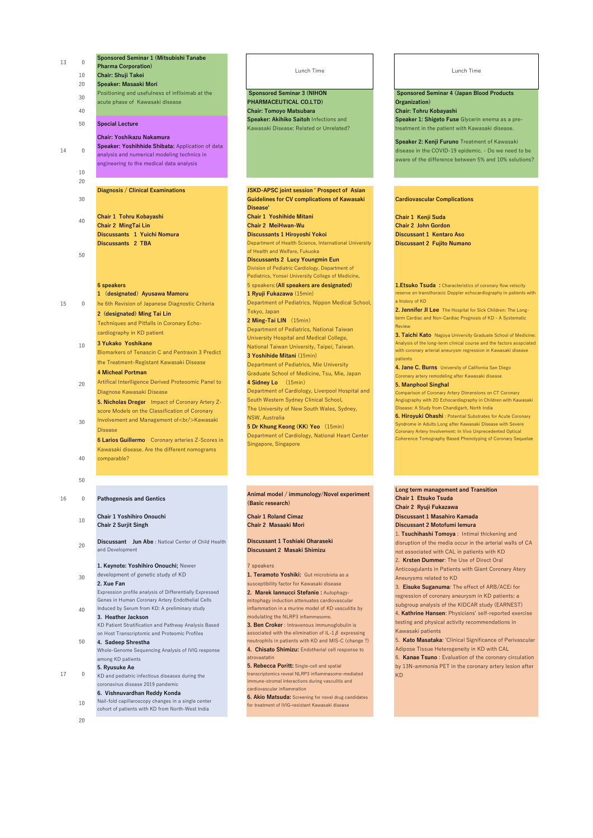**Sponsored Seminar 3 (NIHON PHARMACEUTICAL CO.LTD)** 40 **Chair: Tomoyo Matsubara Chair: Tohru Kobayashi Speaker: Akihiko Saitoh** Infections and Kawasaki Disease: Related or Unrelated?

 **Sponsored Seminar 4 (Japan Blood Products Organization) Speaker 1: Shigeto Fuse** Glycerin enema as a pretreatment in the patient with Kawasaki disease.

**Speaker 2: Kenji Furuno** Treatment of Kawasaki disease in the COVID-19 epidemic. - Do we need to be aware of the difference between 5% and 10% solutions?

**20 Discussant Jun Abe** : Natioal Center of Child Health and Development

### **Cardiovascular Complications**

| 0  | <b>Sponsored Seminar 1 (Mitsubishi Tanabe</b>                                                                                                                                          |
|----|----------------------------------------------------------------------------------------------------------------------------------------------------------------------------------------|
|    | <b>Pharma Corporation)</b>                                                                                                                                                             |
| 10 | <b>Chair: Shuji Takei</b>                                                                                                                                                              |
| 20 | <b>Speaker: Masaaki Mori</b>                                                                                                                                                           |
| 30 | Positioning and usefulness of infliximab at the<br>acute phase of Kawasaki disease                                                                                                     |
| 40 |                                                                                                                                                                                        |
| 50 | <b>Special Lecture</b>                                                                                                                                                                 |
| 0  | <b>Chair: Yoshikazu Nakamura</b><br><b>Speaker: Yoshihhide Shibata:</b> Application of data<br>analysis and numerical modeling technics in<br>engineering to the medical data analysis |
| 10 |                                                                                                                                                                                        |
| 20 |                                                                                                                                                                                        |
|    | Diagnosis / Clinical Examinations                                                                                                                                                      |
| 30 |                                                                                                                                                                                        |
| 40 | <b>Chair 1 Tohru Kobayashi</b><br><b>Chair 2 MingTai Lin</b><br>Discussants 1 Yuichi Nomura<br><b>Discussants 2 TBA</b>                                                                |
| 50 |                                                                                                                                                                                        |
|    | <b>6 speakers</b>                                                                                                                                                                      |
|    | (designated) Ayusawa Mamoru<br>1                                                                                                                                                       |
| 0  | he 6th Revision of Japanese Diagnostic Criteria                                                                                                                                        |
|    | 2 (designated) Ming Tai Lin                                                                                                                                                            |
|    | Techniques and Pitfalls in Coronary Echo-                                                                                                                                              |
|    | cardiography in KD patient                                                                                                                                                             |
| 10 | 3 Yukako Yoshikane                                                                                                                                                                     |
|    | Biomarkers of Tenascin C and Pentraxin 3 Predict                                                                                                                                       |
|    | the Treatment-Registant Kawasaki Disease                                                                                                                                               |
|    | <b>4 Micheal Portman</b>                                                                                                                                                               |
| 20 | Artifical Interlligence Derived Proteoomic Panel to                                                                                                                                    |
|    | Diagnose Kawasaki Disease                                                                                                                                                              |

**Chair 1 Kenji Suda Chair 2 John Gordon Discussant 1 Kentaro Aso Discussant 2 Fujito Numano**

40

13

14

15

50

# 16 0 **Pathogenesis and Gentics**

**JSKD-APSC joint session ' Prospect of Asian Guidelines for CV complications of Kawasaki Disease' Chair 1 Yoshihide Mitani Chair 2 MeiHwan-Wu Discussants 1 Hiroyoshi Yokoi** Department of Health Science, International University of Health and Welfare, Fukuoka **Discussants 2 Lucy Youngmin Eun** Division of Pediatric Cardiology, Department of Pediatrics, Yonsei University College of Medicine, 5 speakers:**(All speakers are designated) 1 Ryuji Fukazawa** (15min) Department of Pediatrics, Nippon Medical School, Tokyo, Japan **2 Ming-Tai LIN** (15min) Department of Pediatrics, National Taiwan University Hospital and Medical College, National Taiwan University, Taipei, Taiwan. **3 Yoshihide Mitani** (15min) Department of Pediatrics, Mie University Graduate School of Medicine, Tsu, Mie, Japan **4 Sidney Lo** (15min) Department of Cardiology, Liverpool Hospital and South Western Sydney Clinical School,

**Animal model / immunology/Novel experiment (Basic research)**

1. Etsuko Tsuda : Characteristics of coronary flow velocity reserve on transthoracic Doppler echocardiography in patients with a history of KD

### 10 **Chair 1 Yoshihiro Onouchi Chair 2 Surjit Singh**

**Chair 1 Roland Cimaz Chair 2 Masaaki Mori**

**Discussant 1 Toshiaki Oharaseki Discussant 2 Masaki Shimizu**

50

20

30 Involvement and Management of <br/>br/>Kawasaki Disease

**5. Nicholas Dreger** Impact of Coronary Artery Zscore Models on the Classification of Coronary

**6 Larios Guillermo** Coronary arteries Z-Scores in Kawasaki disease. Are the different nomograms comparable?

> **6. Akio Matsuda:** Screening for novel drug candidates for treatment of IVIG-resistant Kawasaki disease

30 development of genetic study of KD **2. Xue Fan**

The University of New South Wales, Sydney, NSW, Australia **5 Dr Khung Keong (KK) Yeo** (15min)

Department of Cardiology, National Heart Center Singapore, Singapore

40 Induced by Serum from KD: A preliminary study **3. Heather Jackson** KD Patient Stratification and Pathway Analysis Based

17 0 KD and pediatric infectious diseases during the coronavirus disease 2019 pandemic

> 10 Nail-fold capillaroscopy changes in a single center cohort of patients with KD from North-West India

**2. Jennifer JI Lee** The Hospital for Sick Children: The Longterm Cardiac and Non-Cardiac Prognosis of KD - A Systematic Review

**3. Taichi Kato** Nagoya University Graduate School of Medicine: Analysis of the long-term clinical course and the factors asspciated with coronary arterial aneurysm regression in Kawasaki disease patients

**Long term management and Transition Chair 1 Etsuko Tsuda Chair 2 Ryuji Fukazawa Discussant 1 Masahiro Kamada Discussant 2 Motofumi Iemura** 1. **Tsuchihashi Tomoya** : Intimal thickening and disruption of the media occur in the arterial walls of CA not associated with CAL in patients with KD 2. **Krsten Dummer**: The Use of Direct Oral

**4. Jane C. Burns** University of California San Diego Coronary artery remodeling after Kawasaki disease

### **5. Manphool Singhal**

Comparison of Coronary Artery Dimensions on CT Coronary Angiography with 2D Echocardiography in Children with Kawasaki

Disease: A Study from Chandigarh, North India **6. Hiroyuki Ohashi** : Potential Substrates for Acute Coronary Syndrome in Adults Long after Kawasaki Disease with Severe Coronary Artery Involvement: In Vivo Unprecedented Optical Coherence Tomography Based Phenotyping of Coronary Sequelae

# **1. Keynote: Yoshihiro Onouchi;** Newer

Expression profile analysis of Differentially Expressed Genes in Human Coronary Artery Endothelial Cells

on Host Transcriptomic and Proteomic Profiles

**4. Sadeep Shrestha** Whole-Genome Sequencing Analysis of IVIG response among KD patients

## **5. Ryusuke Ae**

# **6. Vishnuvardhan Reddy Konda**

# 7 speakers

**1. Teramoto Yoshiki:** Gut microbiota as a susceptibility factor for Kawasaki disease

**2. Marek Iannucci Stefanie :** Autophagymitophagy induction attenuates cardiovascular inflammation in a murine model of KD vasculitis by modulating the NLRP3 inflammasome.

**3. Ben Croker** : Intravenous immunoglobulin is associated with the elimination of IL-1 $\beta$  expressing neutrophils in patients with KD and MIS-C (change ?) **4. Chisato Shimizu:** Endotherial cell response to atrovaatatin

**5. Rebecca Poritt:** Single-cell and spatial transcriptomics reveal NLRP3 inflammasome-mediated immune-stromal interactions during vasculitis and cardiovascular inflammation

Lunch Time Lunch Time

Anticoagulants in Patients with Giant Coronary Atery Aneurysms related to KD

3. **Eisuke Suganuma**: The effect of ARB/ACEi for regression of coronary aneurysm in KD patients: a subgroup analysis of the KIDCAR study (EARNEST) 4. **Kathrine Hansen**: Physicians' self-reported exercise testing and physical activity recommendations in Kawasaki patients

5. **Kato Masataka**: 'Clinical Significance of Perivascular Adipose Tissue Heterogeneity in KD with CAL 6. **Kanae Tsuno** : Evaluation of the coronary circulation

by 13N-ammonia PET in the coronary artery lesion after KD